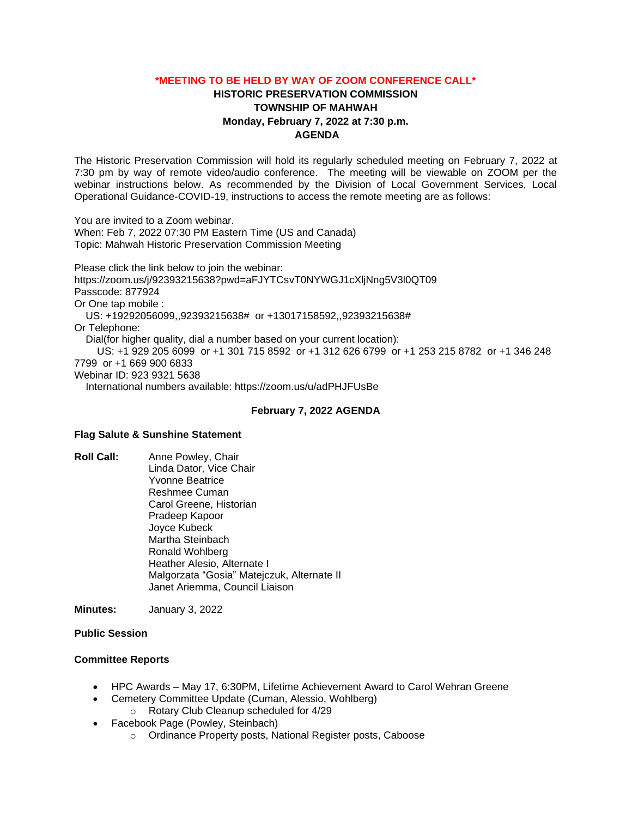### **\*MEETING TO BE HELD BY WAY OF ZOOM CONFERENCE CALL\***

# **HISTORIC PRESERVATION COMMISSION TOWNSHIP OF MAHWAH Monday, February 7, 2022 at 7:30 p.m. AGENDA**

The Historic Preservation Commission will hold its regularly scheduled meeting on February 7, 2022 at 7:30 pm by way of remote video/audio conference. The meeting will be viewable on ZOOM per the webinar instructions below. As recommended by the Division of Local Government Services, Local Operational Guidance-COVID-19, instructions to access the remote meeting are as follows:

You are invited to a Zoom webinar. When: Feb 7, 2022 07:30 PM Eastern Time (US and Canada) Topic: Mahwah Historic Preservation Commission Meeting

Please click the link below to join the webinar: https://zoom.us/j/92393215638?pwd=aFJYTCsvT0NYWGJ1cXljNng5V3l0QT09 Passcode: 877924 Or One tap mobile : US: +19292056099,,92393215638# or +13017158592,,92393215638# Or Telephone: Dial(for higher quality, dial a number based on your current location): US: +1 929 205 6099 or +1 301 715 8592 or +1 312 626 6799 or +1 253 215 8782 or +1 346 248 7799 or +1 669 900 6833 Webinar ID: 923 9321 5638 International numbers available: https://zoom.us/u/adPHJFUsBe

#### **February 7, 2022 AGENDA**

### **Flag Salute & Sunshine Statement**

**Roll Call:** Anne Powley, Chair Linda Dator, Vice Chair Yvonne Beatrice Reshmee Cuman Carol Greene, Historian Pradeep Kapoor Joyce Kubeck Martha Steinbach Ronald Wohlberg Heather Alesio, Alternate I Malgorzata "Gosia" Matejczuk, Alternate II Janet Ariemma, Council Liaison

**Minutes:** January 3, 2022

### **Public Session**

### **Committee Reports**

- HPC Awards May 17, 6:30PM, Lifetime Achievement Award to Carol Wehran Greene
- Cemetery Committee Update (Cuman, Alessio, Wohlberg) o Rotary Club Cleanup scheduled for 4/29
- Facebook Page (Powley, Steinbach)
	- o Ordinance Property posts, National Register posts, Caboose